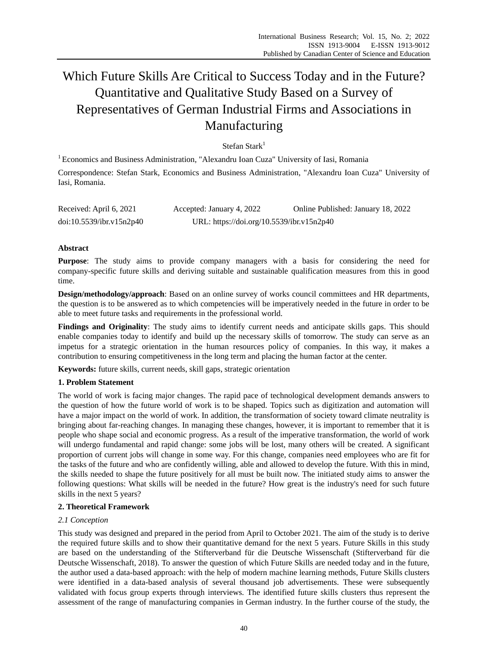# Which Future Skills Are Critical to Success Today and in the Future? Quantitative and Qualitative Study Based on a Survey of Representatives of German Industrial Firms and Associations in Manufacturing

Stefan Stark $1$ 

<sup>1</sup> Economics and Business Administration, "Alexandru Ioan Cuza" University of Iasi, Romania

Correspondence: Stefan Stark, Economics and Business Administration, "Alexandru Ioan Cuza" University of Iasi, Romania.

| Received: April 6, 2021  | Accepted: January 4, 2022                 | Online Published: January 18, 2022 |
|--------------------------|-------------------------------------------|------------------------------------|
| doi:10.5539/ibr.v15n2p40 | URL: https://doi.org/10.5539/ibr.v15n2p40 |                                    |

## **Abstract**

Purpose: The study aims to provide company managers with a basis for considering the need for company-specific future skills and deriving suitable and sustainable qualification measures from this in good time.

**Design/methodology/approach**: Based on an online survey of works council committees and HR departments, the question is to be answered as to which competencies will be imperatively needed in the future in order to be able to meet future tasks and requirements in the professional world.

**Findings and Originality**: The study aims to identify current needs and anticipate skills gaps. This should enable companies today to identify and build up the necessary skills of tomorrow. The study can serve as an impetus for a strategic orientation in the human resources policy of companies. In this way, it makes a contribution to ensuring competitiveness in the long term and placing the human factor at the center.

**Keywords:** future skills, current needs, skill gaps, strategic orientation

## **1. Problem Statement**

The world of work is facing major changes. The rapid pace of technological development demands answers to the question of how the future world of work is to be shaped. Topics such as digitization and automation will have a major impact on the world of work. In addition, the transformation of society toward climate neutrality is bringing about far-reaching changes. In managing these changes, however, it is important to remember that it is people who shape social and economic progress. As a result of the imperative transformation, the world of work will undergo fundamental and rapid change: some jobs will be lost, many others will be created. A significant proportion of current jobs will change in some way. For this change, companies need employees who are fit for the tasks of the future and who are confidently willing, able and allowed to develop the future. With this in mind, the skills needed to shape the future positively for all must be built now. The initiated study aims to answer the following questions: What skills will be needed in the future? How great is the industry's need for such future skills in the next 5 years?

## **2. Theoretical Framework**

## *2.1 Conception*

This study was designed and prepared in the period from April to October 2021. The aim of the study is to derive the required future skills and to show their quantitative demand for the next 5 years. Future Skills in this study are based on the understanding of the Stifterverband für die Deutsche Wissenschaft (Stifterverband für die Deutsche Wissenschaft, 2018). To answer the question of which Future Skills are needed today and in the future, the author used a data-based approach: with the help of modern machine learning methods, Future Skills clusters were identified in a data-based analysis of several thousand job advertisements. These were subsequently validated with focus group experts through interviews. The identified future skills clusters thus represent the assessment of the range of manufacturing companies in German industry. In the further course of the study, the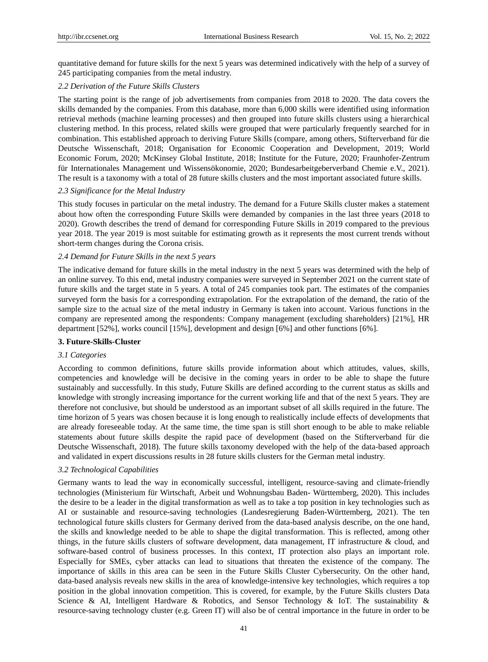quantitative demand for future skills for the next 5 years was determined indicatively with the help of a survey of 245 participating companies from the metal industry.

#### *2.2 Derivation of the Future Skills Clusters*

The starting point is the range of job advertisements from companies from 2018 to 2020. The data covers the skills demanded by the companies. From this database, more than 6,000 skills were identified using information retrieval methods (machine learning processes) and then grouped into future skills clusters using a hierarchical clustering method. In this process, related skills were grouped that were particularly frequently searched for in combination. This established approach to deriving Future Skills (compare, among others, Stifterverband für die Deutsche Wissenschaft, 2018; Organisation for Economic Cooperation and Development, 2019; World Economic Forum, 2020; McKinsey Global Institute, 2018; Institute for the Future, 2020; Fraunhofer-Zentrum für Internationales Management und Wissensökonomie, 2020; Bundesarbeitgeberverband Chemie e.V., 2021). The result is a taxonomy with a total of 28 future skills clusters and the most important associated future skills.

#### *2.3 Significance for the Metal Industry*

This study focuses in particular on the metal industry. The demand for a Future Skills cluster makes a statement about how often the corresponding Future Skills were demanded by companies in the last three years (2018 to 2020). Growth describes the trend of demand for corresponding Future Skills in 2019 compared to the previous year 2018. The year 2019 is most suitable for estimating growth as it represents the most current trends without short-term changes during the Corona crisis.

#### *2.4 Demand for Future Skills in the next 5 years*

The indicative demand for future skills in the metal industry in the next 5 years was determined with the help of an online survey. To this end, metal industry companies were surveyed in September 2021 on the current state of future skills and the target state in 5 years. A total of 245 companies took part. The estimates of the companies surveyed form the basis for a corresponding extrapolation. For the extrapolation of the demand, the ratio of the sample size to the actual size of the metal industry in Germany is taken into account. Various functions in the company are represented among the respondents: Company management (excluding shareholders) [21%], HR department [52%], works council [15%], development and design [6%] and other functions [6%].

#### **3. Future-Skills-Cluster**

#### *3.1 Categories*

According to common definitions, future skills provide information about which attitudes, values, skills, competencies and knowledge will be decisive in the coming years in order to be able to shape the future sustainably and successfully. In this study, Future Skills are defined according to the current status as skills and knowledge with strongly increasing importance for the current working life and that of the next 5 years. They are therefore not conclusive, but should be understood as an important subset of all skills required in the future. The time horizon of 5 years was chosen because it is long enough to realistically include effects of developments that are already foreseeable today. At the same time, the time span is still short enough to be able to make reliable statements about future skills despite the rapid pace of development (based on the Stifterverband für die Deutsche Wissenschaft, 2018). The future skills taxonomy developed with the help of the data-based approach and validated in expert discussions results in 28 future skills clusters for the German metal industry.

#### *3.2 Technological Capabilities*

Germany wants to lead the way in economically successful, intelligent, resource-saving and climate-friendly technologies (Ministerium für Wirtschaft, Arbeit und Wohnungsbau Baden- Württemberg, 2020). This includes the desire to be a leader in the digital transformation as well as to take a top position in key technologies such as AI or sustainable and resource-saving technologies (Landesregierung Baden-Württemberg, 2021). The ten technological future skills clusters for Germany derived from the data-based analysis describe, on the one hand, the skills and knowledge needed to be able to shape the digital transformation. This is reflected, among other things, in the future skills clusters of software development, data management, IT infrastructure & cloud, and software-based control of business processes. In this context, IT protection also plays an important role. Especially for SMEs, cyber attacks can lead to situations that threaten the existence of the company. The importance of skills in this area can be seen in the Future Skills Cluster Cybersecurity. On the other hand, data-based analysis reveals new skills in the area of knowledge-intensive key technologies, which requires a top position in the global innovation competition. This is covered, for example, by the Future Skills clusters Data Science & AI, Intelligent Hardware & Robotics, and Sensor Technology & IoT. The sustainability & resource-saving technology cluster (e.g. Green IT) will also be of central importance in the future in order to be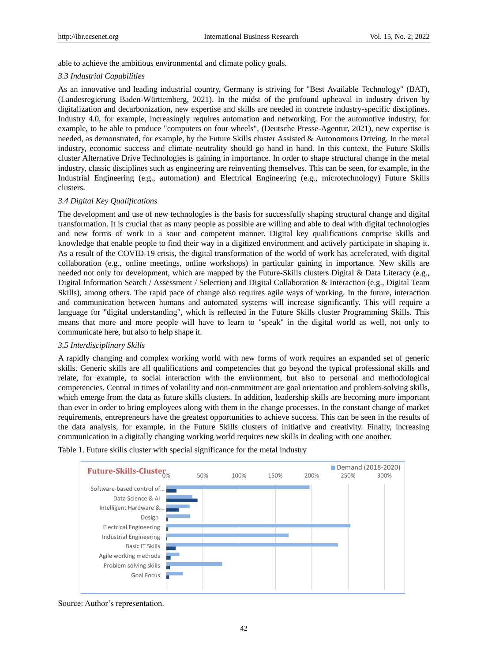able to achieve the ambitious environmental and climate policy goals.

#### *3.3 Industrial Capabilities*

As an innovative and leading industrial country, Germany is striving for "Best Available Technology" (BAT), (Landesregierung Baden-Württemberg, 2021). In the midst of the profound upheaval in industry driven by digitalization and decarbonization, new expertise and skills are needed in concrete industry-specific disciplines. Industry 4.0, for example, increasingly requires automation and networking. For the automotive industry, for example, to be able to produce "computers on four wheels", (Deutsche Presse-Agentur, 2021), new expertise is needed, as demonstrated, for example, by the Future Skills cluster Assisted & Autonomous Driving. In the metal industry, economic success and climate neutrality should go hand in hand. In this context, the Future Skills cluster Alternative Drive Technologies is gaining in importance. In order to shape structural change in the metal industry, classic disciplines such as engineering are reinventing themselves. This can be seen, for example, in the Industrial Engineering (e.g., automation) and Electrical Engineering (e.g., microtechnology) Future Skills clusters.

#### *3.4 Digital Key Qualifications*

The development and use of new technologies is the basis for successfully shaping structural change and digital transformation. It is crucial that as many people as possible are willing and able to deal with digital technologies and new forms of work in a sour and competent manner. Digital key qualifications comprise skills and knowledge that enable people to find their way in a digitized environment and actively participate in shaping it. As a result of the COVID-19 crisis, the digital transformation of the world of work has accelerated, with digital collaboration (e.g., online meetings, online workshops) in particular gaining in importance. New skills are needed not only for development, which are mapped by the Future-Skills clusters Digital & Data Literacy (e.g., Digital Information Search / Assessment / Selection) and Digital Collaboration & Interaction (e.g., Digital Team Skills), among others. The rapid pace of change also requires agile ways of working. In the future, interaction and communication between humans and automated systems will increase significantly. This will require a language for "digital understanding", which is reflected in the Future Skills cluster Programming Skills. This means that more and more people will have to learn to "speak" in the digital world as well, not only to communicate here, but also to help shape it.

#### *3.5 Interdisciplinary Skills*

A rapidly changing and complex working world with new forms of work requires an expanded set of generic skills. Generic skills are all qualifications and competencies that go beyond the typical professional skills and relate, for example, to social interaction with the environment, but also to personal and methodological competencies. Central in times of volatility and non-commitment are goal orientation and problem-solving skills, which emerge from the data as future skills clusters. In addition, leadership skills are becoming more important than ever in order to bring employees along with them in the change processes. In the constant change of market requirements, entrepreneurs have the greatest opportunities to achieve success. This can be seen in the results of the data analysis, for example, in the Future Skills clusters of initiative and creativity. Finally, increasing communication in a digitally changing working world requires new skills in dealing with one another.



Table 1. Future skills cluster with special significance for the metal industry

Source: Author's representation.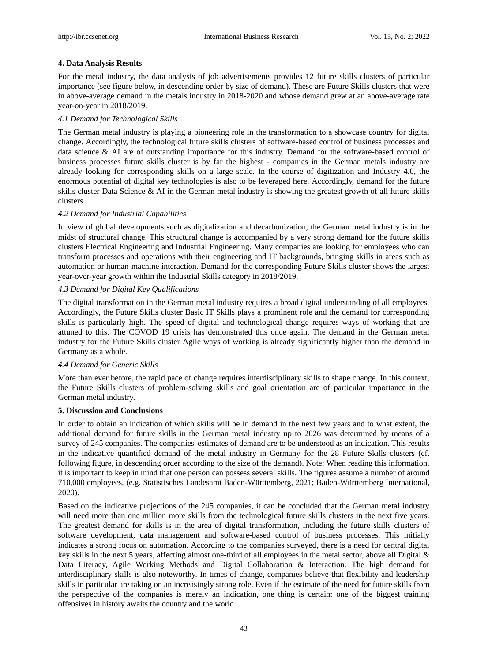## **4. Data Analysis Results**

For the metal industry, the data analysis of job advertisements provides 12 future skills clusters of particular importance (see figure below, in descending order by size of demand). These are Future Skills clusters that were in above-average demand in the metals industry in 2018-2020 and whose demand grew at an above-average rate year-on-year in 2018/2019.

## *4.1 Demand for Technological Skills*

The German metal industry is playing a pioneering role in the transformation to a showcase country for digital change. Accordingly, the technological future skills clusters of software-based control of business processes and data science & AI are of outstanding importance for this industry. Demand for the software-based control of business processes future skills cluster is by far the highest - companies in the German metals industry are already looking for corresponding skills on a large scale. In the course of digitization and Industry 4.0, the enormous potential of digital key technologies is also to be leveraged here. Accordingly, demand for the future skills cluster Data Science & AI in the German metal industry is showing the greatest growth of all future skills clusters.

### *4.2 Demand for Industrial Capabilities*

In view of global developments such as digitalization and decarbonization, the German metal industry is in the midst of structural change. This structural change is accompanied by a very strong demand for the future skills clusters Electrical Engineering and Industrial Engineering. Many companies are looking for employees who can transform processes and operations with their engineering and IT backgrounds, bringing skills in areas such as automation or human-machine interaction. Demand for the corresponding Future Skills cluster shows the largest year-over-year growth within the Industrial Skills category in 2018/2019.

### *4.3 Demand for Digital Key Qualifications*

The digital transformation in the German metal industry requires a broad digital understanding of all employees. Accordingly, the Future Skills cluster Basic IT Skills plays a prominent role and the demand for corresponding skills is particularly high. The speed of digital and technological change requires ways of working that are attuned to this. The COVOD 19 crisis has demonstrated this once again. The demand in the German metal industry for the Future Skills cluster Agile ways of working is already significantly higher than the demand in Germany as a whole.

## *4.4 Demand for Generic Skills*

More than ever before, the rapid pace of change requires interdisciplinary skills to shape change. In this context, the Future Skills clusters of problem-solving skills and goal orientation are of particular importance in the German metal industry.

### **5. Discussion and Conclusions**

In order to obtain an indication of which skills will be in demand in the next few years and to what extent, the additional demand for future skills in the German metal industry up to 2026 was determined by means of a survey of 245 companies. The companies' estimates of demand are to be understood as an indication. This results in the indicative quantified demand of the metal industry in Germany for the 28 Future Skills clusters (cf. following figure, in descending order according to the size of the demand). Note: When reading this information, it is important to keep in mind that one person can possess several skills. The figures assume a number of around 710,000 employees, (e.g. Statistisches Landesamt Baden-Württemberg, 2021; Baden-Württemberg International, 2020).

Based on the indicative projections of the 245 companies, it can be concluded that the German metal industry will need more than one million more skills from the technological future skills clusters in the next five years. The greatest demand for skills is in the area of digital transformation, including the future skills clusters of software development, data management and software-based control of business processes. This initially indicates a strong focus on automation. According to the companies surveyed, there is a need for central digital key skills in the next 5 years, affecting almost one-third of all employees in the metal sector, above all Digital & Data Literacy, Agile Working Methods and Digital Collaboration & Interaction. The high demand for interdisciplinary skills is also noteworthy. In times of change, companies believe that flexibility and leadership skills in particular are taking on an increasingly strong role. Even if the estimate of the need for future skills from the perspective of the companies is merely an indication, one thing is certain: one of the biggest training offensives in history awaits the country and the world.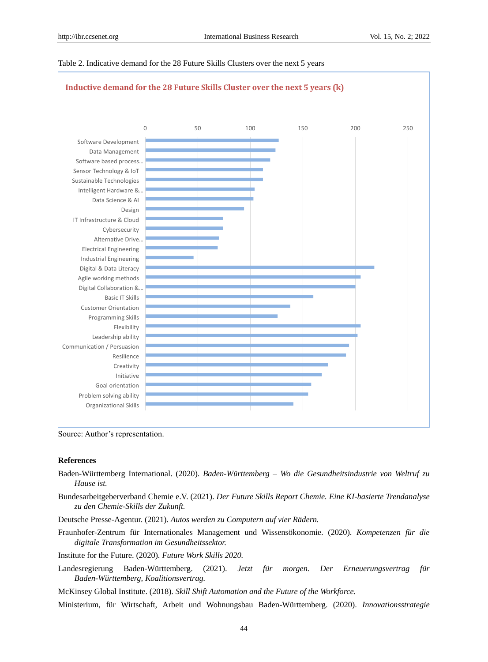### Table 2. Indicative demand for the 28 Future Skills Clusters over the next 5 years



Source: Author's representation.

#### **References**

- Baden-Württemberg International. (2020). *Baden-Württemberg – Wo die Gesundheitsindustrie von Weltruf zu Hause ist.*
- Bundesarbeitgeberverband Chemie e.V. (2021). *Der Future Skills Report Chemie. Eine KI-basierte Trendanalyse zu den Chemie-Skills der Zukunft.*
- Deutsche Presse-Agentur. (2021). *Autos werden zu Computern auf vier Rädern.*
- Fraunhofer-Zentrum für Internationales Management und Wissensökonomie. (2020). *Kompetenzen für die digitale Transformation im Gesundheitssektor.*
- Institute for the Future. (2020). *Future Work Skills 2020.*
- Landesregierung Baden-Württemberg. (2021). *Jetzt für morgen. Der Erneuerungsvertrag für Baden-Württemberg, Koalitionsvertrag.*

McKinsey Global Institute. (2018). *Skill Shift Automation and the Future of the Workforce.*

Ministerium, für Wirtschaft, Arbeit und Wohnungsbau Baden-Württemberg. (2020). *Innovationsstrategie*